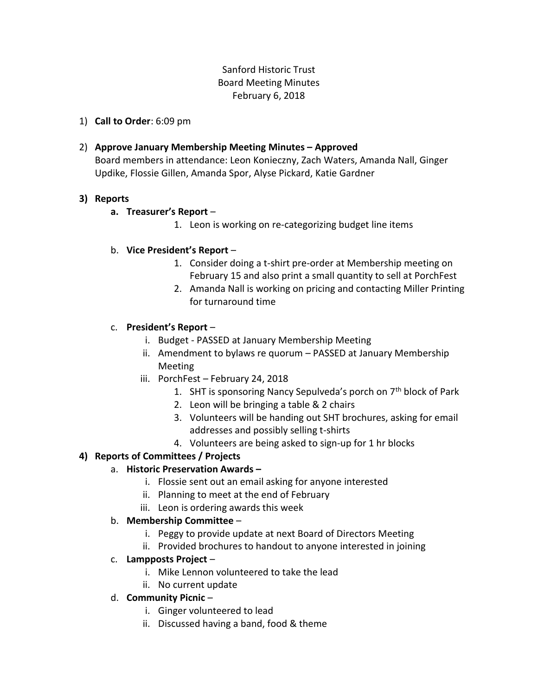# Sanford Historic Trust Board Meeting Minutes February 6, 2018

1) **Call to Order**: 6:09 pm

### 2) **Approve January Membership Meeting Minutes – Approved**

Board members in attendance: Leon Konieczny, Zach Waters, Amanda Nall, Ginger Updike, Flossie Gillen, Amanda Spor, Alyse Pickard, Katie Gardner

### **3) Reports**

### **a. Treasurer's Report** –

1. Leon is working on re-categorizing budget line items

#### b. **Vice President's Report** –

- 1. Consider doing a t-shirt pre-order at Membership meeting on February 15 and also print a small quantity to sell at PorchFest
- 2. Amanda Nall is working on pricing and contacting Miller Printing for turnaround time

### c. **President's Report** –

- i. Budget PASSED at January Membership Meeting
- ii. Amendment to bylaws re quorum PASSED at January Membership Meeting
- iii. PorchFest February 24, 2018
	- 1. SHT is sponsoring Nancy Sepulveda's porch on  $7<sup>th</sup>$  block of Park
	- 2. Leon will be bringing a table & 2 chairs
	- 3. Volunteers will be handing out SHT brochures, asking for email addresses and possibly selling t-shirts
	- 4. Volunteers are being asked to sign-up for 1 hr blocks

### **4) Reports of Committees / Projects**

### a. **Historic Preservation Awards –**

- i. Flossie sent out an email asking for anyone interested
- ii. Planning to meet at the end of February
- iii. Leon is ordering awards this week

### b. **Membership Committee** –

- i. Peggy to provide update at next Board of Directors Meeting
- ii. Provided brochures to handout to anyone interested in joining

#### c. **Lampposts Project** –

- i. Mike Lennon volunteered to take the lead
- ii. No current update
- d. **Community Picnic**
	- i. Ginger volunteered to lead
	- ii. Discussed having a band, food & theme